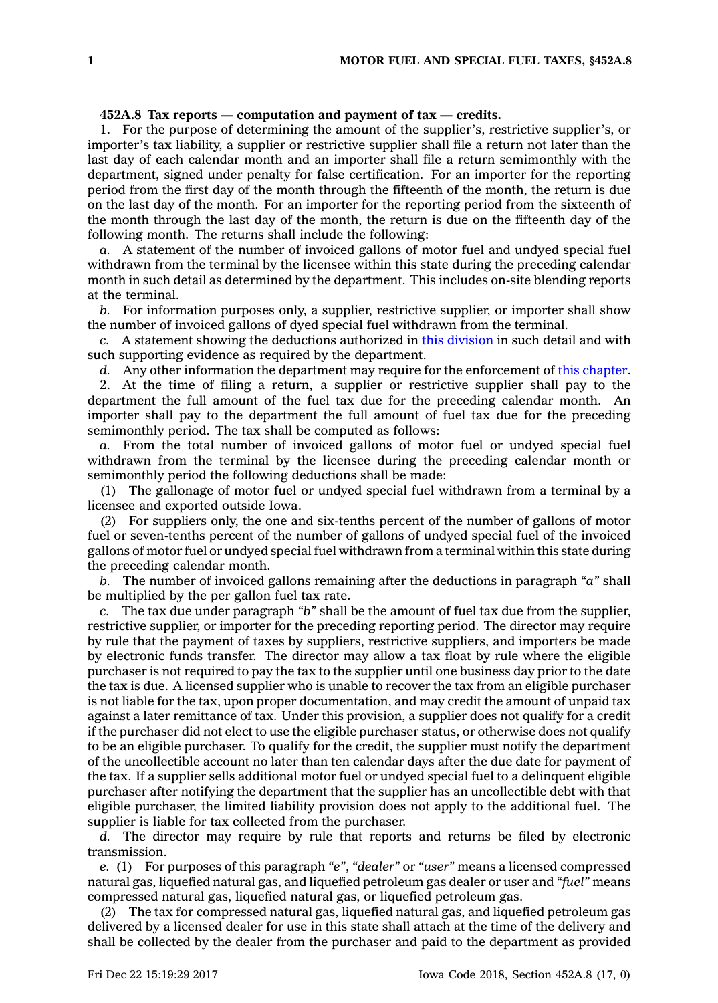## **452A.8 Tax reports — computation and payment of tax — credits.**

1. For the purpose of determining the amount of the supplier's, restrictive supplier's, or importer's tax liability, <sup>a</sup> supplier or restrictive supplier shall file <sup>a</sup> return not later than the last day of each calendar month and an importer shall file <sup>a</sup> return semimonthly with the department, signed under penalty for false certification. For an importer for the reporting period from the first day of the month through the fifteenth of the month, the return is due on the last day of the month. For an importer for the reporting period from the sixteenth of the month through the last day of the month, the return is due on the fifteenth day of the following month. The returns shall include the following:

*a.* A statement of the number of invoiced gallons of motor fuel and undyed special fuel withdrawn from the terminal by the licensee within this state during the preceding calendar month in such detail as determined by the department. This includes on-site blending reports at the terminal.

*b.* For information purposes only, <sup>a</sup> supplier, restrictive supplier, or importer shall show the number of invoiced gallons of dyed special fuel withdrawn from the terminal.

*c.* A statement showing the deductions authorized in this [division](https://www.legis.iowa.gov/docs/code//452A.pdf) in such detail and with such supporting evidence as required by the department.

*d.* Any other information the department may require for the enforcement of this [chapter](https://www.legis.iowa.gov/docs/code//452A.pdf).

2. At the time of filing <sup>a</sup> return, <sup>a</sup> supplier or restrictive supplier shall pay to the department the full amount of the fuel tax due for the preceding calendar month. An importer shall pay to the department the full amount of fuel tax due for the preceding semimonthly period. The tax shall be computed as follows:

*a.* From the total number of invoiced gallons of motor fuel or undyed special fuel withdrawn from the terminal by the licensee during the preceding calendar month or semimonthly period the following deductions shall be made:

(1) The gallonage of motor fuel or undyed special fuel withdrawn from <sup>a</sup> terminal by <sup>a</sup> licensee and exported outside Iowa.

(2) For suppliers only, the one and six-tenths percent of the number of gallons of motor fuel or seven-tenths percent of the number of gallons of undyed special fuel of the invoiced gallons of motor fuel or undyed special fuel withdrawn from <sup>a</sup> terminal within this state during the preceding calendar month.

*b.* The number of invoiced gallons remaining after the deductions in paragraph *"a"* shall be multiplied by the per gallon fuel tax rate.

*c.* The tax due under paragraph *"b"* shall be the amount of fuel tax due from the supplier, restrictive supplier, or importer for the preceding reporting period. The director may require by rule that the payment of taxes by suppliers, restrictive suppliers, and importers be made by electronic funds transfer. The director may allow <sup>a</sup> tax float by rule where the eligible purchaser is not required to pay the tax to the supplier until one business day prior to the date the tax is due. A licensed supplier who is unable to recover the tax from an eligible purchaser is not liable for the tax, upon proper documentation, and may credit the amount of unpaid tax against <sup>a</sup> later remittance of tax. Under this provision, <sup>a</sup> supplier does not qualify for <sup>a</sup> credit if the purchaser did not elect to use the eligible purchaser status, or otherwise does not qualify to be an eligible purchaser. To qualify for the credit, the supplier must notify the department of the uncollectible account no later than ten calendar days after the due date for payment of the tax. If <sup>a</sup> supplier sells additional motor fuel or undyed special fuel to <sup>a</sup> delinquent eligible purchaser after notifying the department that the supplier has an uncollectible debt with that eligible purchaser, the limited liability provision does not apply to the additional fuel. The supplier is liable for tax collected from the purchaser.

*d.* The director may require by rule that reports and returns be filed by electronic transmission.

*e.* (1) For purposes of this paragraph *"e"*, *"dealer"* or *"user"* means <sup>a</sup> licensed compressed natural gas, liquefied natural gas, and liquefied petroleum gas dealer or user and *"fuel"* means compressed natural gas, liquefied natural gas, or liquefied petroleum gas.

(2) The tax for compressed natural gas, liquefied natural gas, and liquefied petroleum gas delivered by <sup>a</sup> licensed dealer for use in this state shall attach at the time of the delivery and shall be collected by the dealer from the purchaser and paid to the department as provided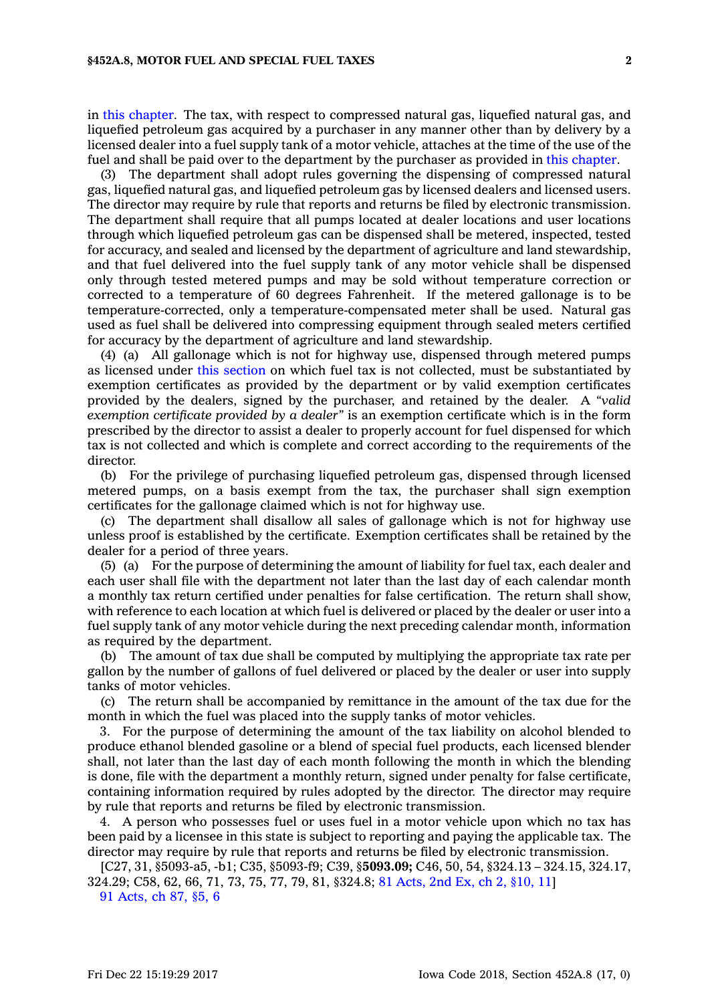in this [chapter](https://www.legis.iowa.gov/docs/code//452A.pdf). The tax, with respect to compressed natural gas, liquefied natural gas, and liquefied petroleum gas acquired by <sup>a</sup> purchaser in any manner other than by delivery by <sup>a</sup> licensed dealer into <sup>a</sup> fuel supply tank of <sup>a</sup> motor vehicle, attaches at the time of the use of the fuel and shall be paid over to the department by the purchaser as provided in this [chapter](https://www.legis.iowa.gov/docs/code//452A.pdf).

(3) The department shall adopt rules governing the dispensing of compressed natural gas, liquefied natural gas, and liquefied petroleum gas by licensed dealers and licensed users. The director may require by rule that reports and returns be filed by electronic transmission. The department shall require that all pumps located at dealer locations and user locations through which liquefied petroleum gas can be dispensed shall be metered, inspected, tested for accuracy, and sealed and licensed by the department of agriculture and land stewardship, and that fuel delivered into the fuel supply tank of any motor vehicle shall be dispensed only through tested metered pumps and may be sold without temperature correction or corrected to <sup>a</sup> temperature of 60 degrees Fahrenheit. If the metered gallonage is to be temperature-corrected, only <sup>a</sup> temperature-compensated meter shall be used. Natural gas used as fuel shall be delivered into compressing equipment through sealed meters certified for accuracy by the department of agriculture and land stewardship.

(4) (a) All gallonage which is not for highway use, dispensed through metered pumps as licensed under this [section](https://www.legis.iowa.gov/docs/code/452A.8.pdf) on which fuel tax is not collected, must be substantiated by exemption certificates as provided by the department or by valid exemption certificates provided by the dealers, signed by the purchaser, and retained by the dealer. A *"valid exemption certificate provided by <sup>a</sup> dealer"* is an exemption certificate which is in the form prescribed by the director to assist <sup>a</sup> dealer to properly account for fuel dispensed for which tax is not collected and which is complete and correct according to the requirements of the director.

(b) For the privilege of purchasing liquefied petroleum gas, dispensed through licensed metered pumps, on <sup>a</sup> basis exempt from the tax, the purchaser shall sign exemption certificates for the gallonage claimed which is not for highway use.

(c) The department shall disallow all sales of gallonage which is not for highway use unless proof is established by the certificate. Exemption certificates shall be retained by the dealer for <sup>a</sup> period of three years.

(5) (a) For the purpose of determining the amount of liability for fuel tax, each dealer and each user shall file with the department not later than the last day of each calendar month <sup>a</sup> monthly tax return certified under penalties for false certification. The return shall show, with reference to each location at which fuel is delivered or placed by the dealer or user into <sup>a</sup> fuel supply tank of any motor vehicle during the next preceding calendar month, information as required by the department.

(b) The amount of tax due shall be computed by multiplying the appropriate tax rate per gallon by the number of gallons of fuel delivered or placed by the dealer or user into supply tanks of motor vehicles.

(c) The return shall be accompanied by remittance in the amount of the tax due for the month in which the fuel was placed into the supply tanks of motor vehicles.

3. For the purpose of determining the amount of the tax liability on alcohol blended to produce ethanol blended gasoline or <sup>a</sup> blend of special fuel products, each licensed blender shall, not later than the last day of each month following the month in which the blending is done, file with the department <sup>a</sup> monthly return, signed under penalty for false certificate, containing information required by rules adopted by the director. The director may require by rule that reports and returns be filed by electronic transmission.

4. A person who possesses fuel or uses fuel in <sup>a</sup> motor vehicle upon which no tax has been paid by <sup>a</sup> licensee in this state is subject to reporting and paying the applicable tax. The director may require by rule that reports and returns be filed by electronic transmission.

[C27, 31, §5093-a5, -b1; C35, §5093-f9; C39, §**5093.09;** C46, 50, 54, §324.13 – 324.15, 324.17, 324.29; C58, 62, 66, 71, 73, 75, 77, 79, 81, §324.8; 81 [Acts,](https://www.legis.iowa.gov/docs/acts/1981/CH0002.pdf) 2nd Ex, ch 2, §10, 11] 91 [Acts,](https://www.legis.iowa.gov/docs/acts/91/CH0087.pdf) ch 87, §5, 6